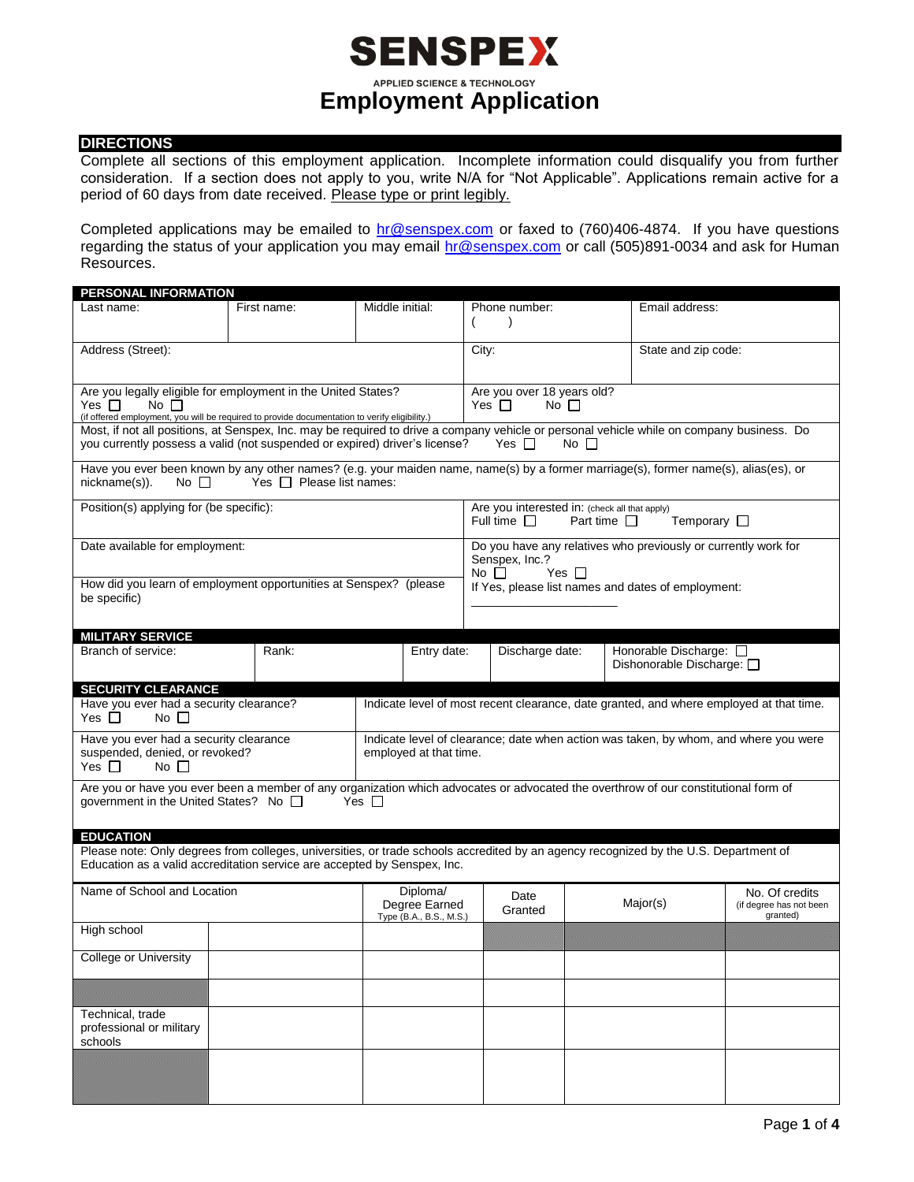## **SENSPEX APPLIED SCIENCE & TECHNOLOGY Employment Application**

### **DIRECTIONS**

Complete all sections of this employment application. Incomplete information could disqualify you from further consideration. If a section does not apply to you, write N/A for "Not Applicable". Applications remain active for a period of 60 days from date received. Please type or print legibly.

Completed applications may be emailed to **hr@senspex.com** or faxed to (760)406-4874. If you have questions regarding the status of your application you may email [hr@senspex.com](mailto:hr@senspex.com) or call (505)891-0034 and ask for Human Resources.

| <b>PERSONAL INFORMATION</b>                                                                                                                                                                                                                          |                                                               |                 |                         |                                                    |                                                                                         |  |                                                                |                         |  |  |
|------------------------------------------------------------------------------------------------------------------------------------------------------------------------------------------------------------------------------------------------------|---------------------------------------------------------------|-----------------|-------------------------|----------------------------------------------------|-----------------------------------------------------------------------------------------|--|----------------------------------------------------------------|-------------------------|--|--|
| Last name:                                                                                                                                                                                                                                           | First name:                                                   | Middle initial: |                         |                                                    | Phone number:                                                                           |  | Email address:                                                 |                         |  |  |
|                                                                                                                                                                                                                                                      |                                                               |                 |                         |                                                    | $\lambda$                                                                               |  |                                                                |                         |  |  |
|                                                                                                                                                                                                                                                      |                                                               |                 |                         |                                                    |                                                                                         |  |                                                                |                         |  |  |
| Address (Street):                                                                                                                                                                                                                                    |                                                               |                 |                         |                                                    | City:                                                                                   |  | State and zip code:                                            |                         |  |  |
|                                                                                                                                                                                                                                                      |                                                               |                 |                         |                                                    |                                                                                         |  |                                                                |                         |  |  |
|                                                                                                                                                                                                                                                      | Are you legally eligible for employment in the United States? |                 |                         |                                                    | Are you over 18 years old?                                                              |  |                                                                |                         |  |  |
| Yes $\Box$<br>$No \ \Box$                                                                                                                                                                                                                            |                                                               |                 |                         | Yes $\Box$                                         | No $\Box$                                                                               |  |                                                                |                         |  |  |
| (if offered employment, you will be required to provide documentation to verify eligibility.)                                                                                                                                                        |                                                               |                 |                         |                                                    |                                                                                         |  |                                                                |                         |  |  |
| Most, if not all positions, at Senspex, Inc. may be required to drive a company vehicle or personal vehicle while on company business. Do<br>you currently possess a valid (not suspended or expired) driver's license?<br>$No$ $\Box$<br>Yes $\Box$ |                                                               |                 |                         |                                                    |                                                                                         |  |                                                                |                         |  |  |
|                                                                                                                                                                                                                                                      |                                                               |                 |                         |                                                    |                                                                                         |  |                                                                |                         |  |  |
| Have you ever been known by any other names? (e.g. your maiden name, name(s) by a former marriage(s), former name(s), alias(es), or<br>Yes $\Box$ Please list names:<br>nickname(s)).<br>No $\square$                                                |                                                               |                 |                         |                                                    |                                                                                         |  |                                                                |                         |  |  |
| Position(s) applying for (be specific):                                                                                                                                                                                                              |                                                               |                 |                         |                                                    | Are you interested in: (check all that apply)                                           |  |                                                                |                         |  |  |
|                                                                                                                                                                                                                                                      |                                                               |                 |                         |                                                    | Full time $\Box$<br>Temporary $\square$<br>Part time $\Box$                             |  |                                                                |                         |  |  |
| Date available for employment:                                                                                                                                                                                                                       |                                                               |                 |                         |                                                    |                                                                                         |  | Do you have any relatives who previously or currently work for |                         |  |  |
|                                                                                                                                                                                                                                                      |                                                               |                 |                         |                                                    | Senspex, Inc.?                                                                          |  |                                                                |                         |  |  |
|                                                                                                                                                                                                                                                      |                                                               |                 |                         | No $\square$<br>Yes $\Box$                         |                                                                                         |  |                                                                |                         |  |  |
| How did you learn of employment opportunities at Senspex? (please<br>be specific)                                                                                                                                                                    |                                                               |                 |                         | If Yes, please list names and dates of employment: |                                                                                         |  |                                                                |                         |  |  |
|                                                                                                                                                                                                                                                      |                                                               |                 |                         |                                                    |                                                                                         |  |                                                                |                         |  |  |
|                                                                                                                                                                                                                                                      |                                                               |                 |                         |                                                    |                                                                                         |  |                                                                |                         |  |  |
| <b>MILITARY SERVICE</b>                                                                                                                                                                                                                              |                                                               |                 |                         |                                                    |                                                                                         |  |                                                                |                         |  |  |
| Branch of service:                                                                                                                                                                                                                                   | Rank:                                                         |                 | Entry date:             |                                                    | Honorable Discharge: 0<br>Discharge date:<br>Dishonorable Discharge: □                  |  |                                                                |                         |  |  |
|                                                                                                                                                                                                                                                      |                                                               |                 |                         |                                                    |                                                                                         |  |                                                                |                         |  |  |
| <b>SECURITY CLEARANCE</b>                                                                                                                                                                                                                            |                                                               |                 |                         |                                                    |                                                                                         |  |                                                                |                         |  |  |
| Have you ever had a security clearance?                                                                                                                                                                                                              |                                                               |                 |                         |                                                    | Indicate level of most recent clearance, date granted, and where employed at that time. |  |                                                                |                         |  |  |
| No $\Box$<br>Yes $\Box$                                                                                                                                                                                                                              |                                                               |                 |                         |                                                    |                                                                                         |  |                                                                |                         |  |  |
| Have you ever had a security clearance                                                                                                                                                                                                               |                                                               |                 |                         |                                                    | Indicate level of clearance; date when action was taken, by whom, and where you were    |  |                                                                |                         |  |  |
| suspended, denied, or revoked?<br>employed at that time.                                                                                                                                                                                             |                                                               |                 |                         |                                                    |                                                                                         |  |                                                                |                         |  |  |
| No $\Box$<br>Yes $\Box$                                                                                                                                                                                                                              |                                                               |                 |                         |                                                    |                                                                                         |  |                                                                |                         |  |  |
| Are you or have you ever been a member of any organization which advocates or advocated the overthrow of our constitutional form of                                                                                                                  |                                                               |                 |                         |                                                    |                                                                                         |  |                                                                |                         |  |  |
| government in the United States? No □<br>Yes $\Box$                                                                                                                                                                                                  |                                                               |                 |                         |                                                    |                                                                                         |  |                                                                |                         |  |  |
|                                                                                                                                                                                                                                                      |                                                               |                 |                         |                                                    |                                                                                         |  |                                                                |                         |  |  |
| <b>EDUCATION</b>                                                                                                                                                                                                                                     |                                                               |                 |                         |                                                    |                                                                                         |  |                                                                |                         |  |  |
| Please note: Only degrees from colleges, universities, or trade schools accredited by an agency recognized by the U.S. Department of                                                                                                                 |                                                               |                 |                         |                                                    |                                                                                         |  |                                                                |                         |  |  |
| Education as a valid accreditation service are accepted by Senspex, Inc.                                                                                                                                                                             |                                                               |                 |                         |                                                    |                                                                                         |  |                                                                |                         |  |  |
| Name of School and Location                                                                                                                                                                                                                          |                                                               |                 | Diploma/                |                                                    |                                                                                         |  |                                                                | No. Of credits          |  |  |
|                                                                                                                                                                                                                                                      |                                                               |                 | Degree Earned           |                                                    | Date<br>Granted                                                                         |  | Major(s)                                                       | (if degree has not been |  |  |
|                                                                                                                                                                                                                                                      |                                                               |                 | Type (B.A., B.S., M.S.) |                                                    |                                                                                         |  |                                                                | granted)                |  |  |
| High school                                                                                                                                                                                                                                          |                                                               |                 |                         |                                                    |                                                                                         |  |                                                                |                         |  |  |
| College or University                                                                                                                                                                                                                                |                                                               |                 |                         |                                                    |                                                                                         |  |                                                                |                         |  |  |
|                                                                                                                                                                                                                                                      |                                                               |                 |                         |                                                    |                                                                                         |  |                                                                |                         |  |  |
|                                                                                                                                                                                                                                                      |                                                               |                 |                         |                                                    |                                                                                         |  |                                                                |                         |  |  |
| Technical, trade                                                                                                                                                                                                                                     |                                                               |                 |                         |                                                    |                                                                                         |  |                                                                |                         |  |  |
| professional or military                                                                                                                                                                                                                             |                                                               |                 |                         |                                                    |                                                                                         |  |                                                                |                         |  |  |
| schools                                                                                                                                                                                                                                              |                                                               |                 |                         |                                                    |                                                                                         |  |                                                                |                         |  |  |
|                                                                                                                                                                                                                                                      |                                                               |                 |                         |                                                    |                                                                                         |  |                                                                |                         |  |  |
|                                                                                                                                                                                                                                                      |                                                               |                 |                         |                                                    |                                                                                         |  |                                                                |                         |  |  |
|                                                                                                                                                                                                                                                      |                                                               |                 |                         |                                                    |                                                                                         |  |                                                                |                         |  |  |
|                                                                                                                                                                                                                                                      |                                                               |                 |                         |                                                    |                                                                                         |  |                                                                |                         |  |  |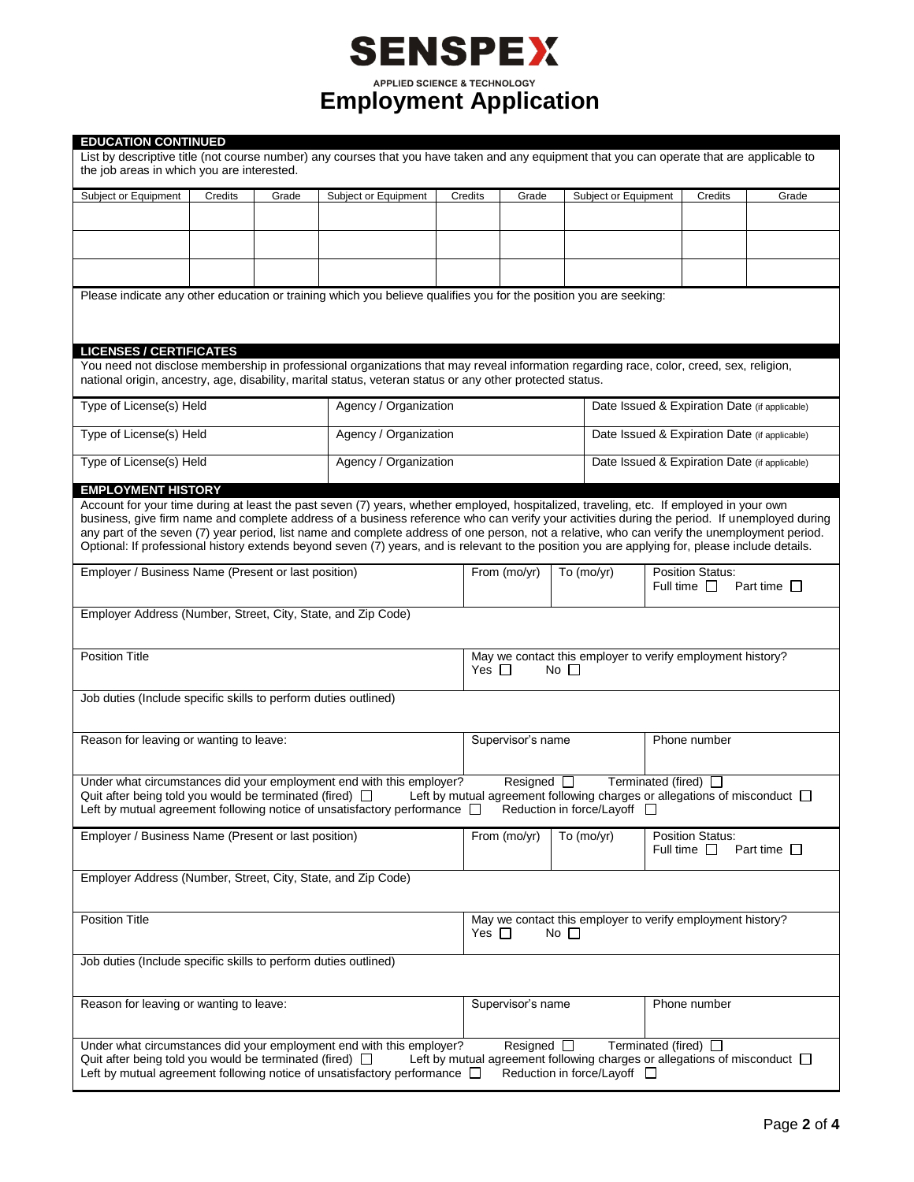|                                                                                                                                                               |         |       | <b>SENSPEX</b>                                                                                                                                                                                                                                                                                                                                                                                                                                  |                                               |                                                                                          |                                               |                                                                                                        |                  |  |
|---------------------------------------------------------------------------------------------------------------------------------------------------------------|---------|-------|-------------------------------------------------------------------------------------------------------------------------------------------------------------------------------------------------------------------------------------------------------------------------------------------------------------------------------------------------------------------------------------------------------------------------------------------------|-----------------------------------------------|------------------------------------------------------------------------------------------|-----------------------------------------------|--------------------------------------------------------------------------------------------------------|------------------|--|
|                                                                                                                                                               |         |       | <b>APPLIED SCIENCE &amp; TECHNOLOGY</b><br><b>Employment Application</b>                                                                                                                                                                                                                                                                                                                                                                        |                                               |                                                                                          |                                               |                                                                                                        |                  |  |
| <b>EDUCATION CONTINUED</b>                                                                                                                                    |         |       |                                                                                                                                                                                                                                                                                                                                                                                                                                                 |                                               |                                                                                          |                                               |                                                                                                        |                  |  |
| the job areas in which you are interested.                                                                                                                    |         |       | List by descriptive title (not course number) any courses that you have taken and any equipment that you can operate that are applicable to                                                                                                                                                                                                                                                                                                     |                                               |                                                                                          |                                               |                                                                                                        |                  |  |
| Subject or Equipment                                                                                                                                          | Credits | Grade | Subject or Equipment                                                                                                                                                                                                                                                                                                                                                                                                                            | Credits                                       | Grade                                                                                    | Subject or Equipment                          | Credits                                                                                                | Grade            |  |
|                                                                                                                                                               |         |       |                                                                                                                                                                                                                                                                                                                                                                                                                                                 |                                               |                                                                                          |                                               |                                                                                                        |                  |  |
|                                                                                                                                                               |         |       |                                                                                                                                                                                                                                                                                                                                                                                                                                                 |                                               |                                                                                          |                                               |                                                                                                        |                  |  |
|                                                                                                                                                               |         |       | Please indicate any other education or training which you believe qualifies you for the position you are seeking:                                                                                                                                                                                                                                                                                                                               |                                               |                                                                                          |                                               |                                                                                                        |                  |  |
|                                                                                                                                                               |         |       |                                                                                                                                                                                                                                                                                                                                                                                                                                                 |                                               |                                                                                          |                                               |                                                                                                        |                  |  |
| <b>LICENSES / CERTIFICATES</b>                                                                                                                                |         |       | You need not disclose membership in professional organizations that may reveal information regarding race, color, creed, sex, religion,                                                                                                                                                                                                                                                                                                         |                                               |                                                                                          |                                               |                                                                                                        |                  |  |
| national origin, ancestry, age, disability, marital status, veteran status or any other protected status.<br>Type of License(s) Held<br>Agency / Organization |         |       |                                                                                                                                                                                                                                                                                                                                                                                                                                                 | Date Issued & Expiration Date (if applicable) |                                                                                          |                                               |                                                                                                        |                  |  |
| Type of License(s) Held                                                                                                                                       |         |       | Agency / Organization                                                                                                                                                                                                                                                                                                                                                                                                                           |                                               |                                                                                          |                                               | Date Issued & Expiration Date (if applicable)                                                          |                  |  |
| Type of License(s) Held                                                                                                                                       |         |       | Agency / Organization                                                                                                                                                                                                                                                                                                                                                                                                                           |                                               |                                                                                          | Date Issued & Expiration Date (if applicable) |                                                                                                        |                  |  |
| <b>EMPLOYMENT HISTORY</b>                                                                                                                                     |         |       |                                                                                                                                                                                                                                                                                                                                                                                                                                                 |                                               |                                                                                          |                                               |                                                                                                        |                  |  |
| Employer / Business Name (Present or last position)                                                                                                           |         |       | business, give firm name and complete address of a business reference who can verify your activities during the period. If unemployed during<br>any part of the seven (7) year period, list name and complete address of one person, not a relative, who can verify the unemployment period.<br>Optional: If professional history extends beyond seven (7) years, and is relevant to the position you are applying for, please include details. |                                               | From (mo/yr)                                                                             | To $(mo/yr)$                                  | <b>Position Status:</b>                                                                                |                  |  |
|                                                                                                                                                               |         |       |                                                                                                                                                                                                                                                                                                                                                                                                                                                 |                                               |                                                                                          |                                               | Full time $\Box$                                                                                       | Part time $\Box$ |  |
| Employer Address (Number, Street, City, State, and Zip Code)                                                                                                  |         |       |                                                                                                                                                                                                                                                                                                                                                                                                                                                 |                                               |                                                                                          |                                               |                                                                                                        |                  |  |
| <b>Position Title</b>                                                                                                                                         |         |       |                                                                                                                                                                                                                                                                                                                                                                                                                                                 |                                               | May we contact this employer to verify employment history?<br>Yes $\Box$<br>$No \; \Box$ |                                               |                                                                                                        |                  |  |
| Job duties (Include specific skills to perform duties outlined)                                                                                               |         |       |                                                                                                                                                                                                                                                                                                                                                                                                                                                 |                                               |                                                                                          |                                               |                                                                                                        |                  |  |
| Reason for leaving or wanting to leave:                                                                                                                       |         |       |                                                                                                                                                                                                                                                                                                                                                                                                                                                 |                                               | Supervisor's name                                                                        |                                               | Phone number                                                                                           |                  |  |
| Quit after being told you would be terminated (fired) $\Box$                                                                                                  |         |       | Under what circumstances did your employment end with this employer?<br>Left by mutual agreement following notice of unsatisfactory performance $\Box$                                                                                                                                                                                                                                                                                          |                                               | Resigned $\square$                                                                       | Reduction in force/Layoff □                   | Terminated (fired) $\Box$<br>Left by mutual agreement following charges or allegations of misconduct [ |                  |  |
| Employer / Business Name (Present or last position)                                                                                                           |         |       |                                                                                                                                                                                                                                                                                                                                                                                                                                                 | From (mo/yr)                                  | To (mo/yr)                                                                               | <b>Position Status:</b><br>Full time $\Box$   | Part time $\square$                                                                                    |                  |  |
| Employer Address (Number, Street, City, State, and Zip Code)                                                                                                  |         |       |                                                                                                                                                                                                                                                                                                                                                                                                                                                 |                                               |                                                                                          |                                               |                                                                                                        |                  |  |
| <b>Position Title</b>                                                                                                                                         |         |       |                                                                                                                                                                                                                                                                                                                                                                                                                                                 |                                               | May we contact this employer to verify employment history?<br>Yes $\Box$<br>No $\Box$    |                                               |                                                                                                        |                  |  |
| Job duties (Include specific skills to perform duties outlined)                                                                                               |         |       |                                                                                                                                                                                                                                                                                                                                                                                                                                                 |                                               |                                                                                          |                                               |                                                                                                        |                  |  |
| Reason for leaving or wanting to leave:                                                                                                                       |         |       |                                                                                                                                                                                                                                                                                                                                                                                                                                                 | Supervisor's name                             |                                                                                          | Phone number                                  |                                                                                                        |                  |  |
| Quit after being told you would be terminated (fired) $\Box$                                                                                                  |         |       | Under what circumstances did your employment end with this employer?<br>Left by mutual agreement following notice of unsatisfactory performance $\Box$                                                                                                                                                                                                                                                                                          |                                               | Resigned $\square$                                                                       | Reduction in force/Layoff □                   | Terminated (fired) $\Box$<br>Left by mutual agreement following charges or allegations of misconduct [ |                  |  |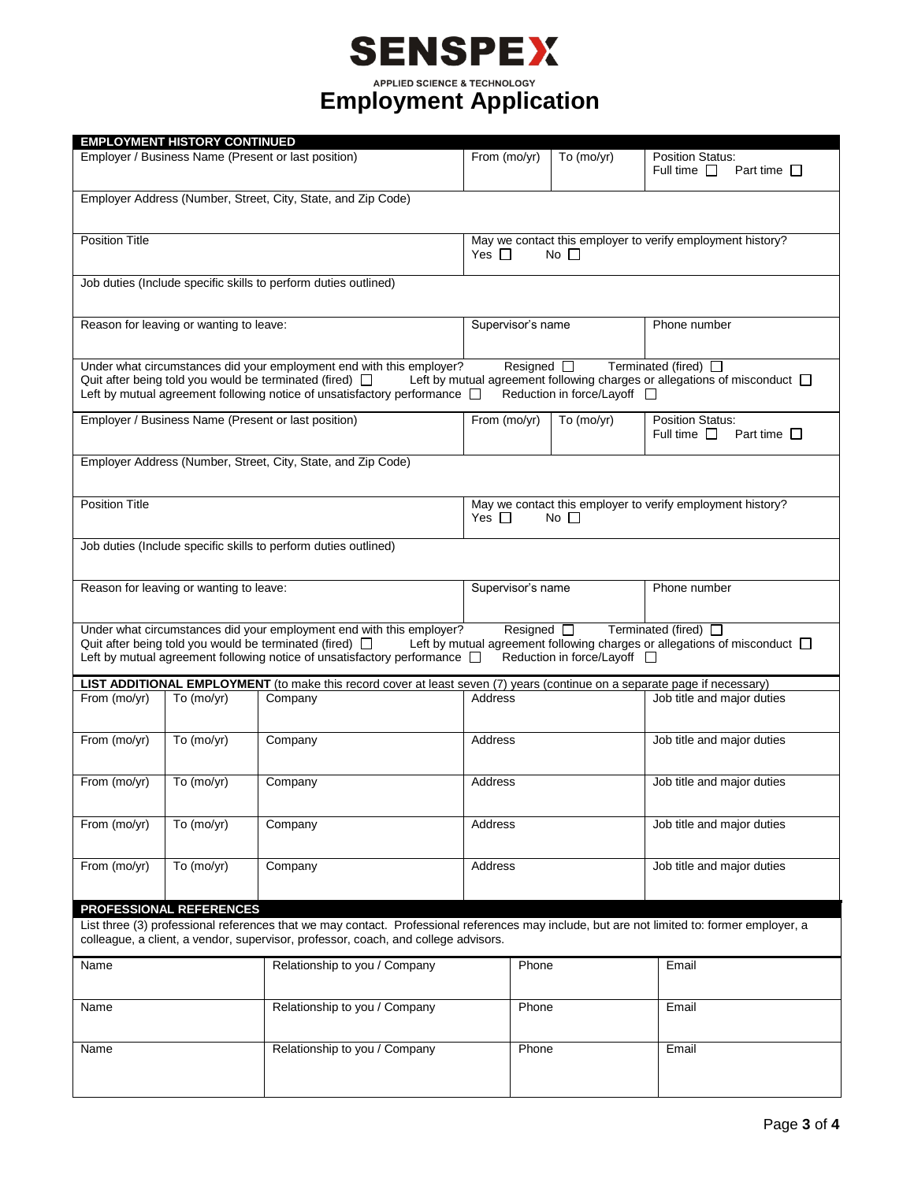# **SENSPEX**

**Employment Application** 

|                                                                                                                                                                                                                                                                                                                                                                                  | <b>EMPLOYMENT HISTORY CONTINUED</b>                          |                                                                                                                                                                                                                   |                                                                                                                                                             |                                             |                                             |                            |  |
|----------------------------------------------------------------------------------------------------------------------------------------------------------------------------------------------------------------------------------------------------------------------------------------------------------------------------------------------------------------------------------|--------------------------------------------------------------|-------------------------------------------------------------------------------------------------------------------------------------------------------------------------------------------------------------------|-------------------------------------------------------------------------------------------------------------------------------------------------------------|---------------------------------------------|---------------------------------------------|----------------------------|--|
|                                                                                                                                                                                                                                                                                                                                                                                  | Employer / Business Name (Present or last position)          | From (mo/yr)                                                                                                                                                                                                      | To $(mo/yr)$                                                                                                                                                | <b>Position Status:</b><br>Full time $\Box$ | Part time $\Box$                            |                            |  |
|                                                                                                                                                                                                                                                                                                                                                                                  | Employer Address (Number, Street, City, State, and Zip Code) |                                                                                                                                                                                                                   |                                                                                                                                                             |                                             |                                             |                            |  |
|                                                                                                                                                                                                                                                                                                                                                                                  |                                                              |                                                                                                                                                                                                                   |                                                                                                                                                             |                                             |                                             |                            |  |
| <b>Position Title</b>                                                                                                                                                                                                                                                                                                                                                            |                                                              |                                                                                                                                                                                                                   | May we contact this employer to verify employment history?<br>Yes $\Box$<br>$No$ $\Box$                                                                     |                                             |                                             |                            |  |
|                                                                                                                                                                                                                                                                                                                                                                                  |                                                              | Job duties (Include specific skills to perform duties outlined)                                                                                                                                                   |                                                                                                                                                             |                                             |                                             |                            |  |
|                                                                                                                                                                                                                                                                                                                                                                                  |                                                              |                                                                                                                                                                                                                   |                                                                                                                                                             |                                             |                                             |                            |  |
| Reason for leaving or wanting to leave:                                                                                                                                                                                                                                                                                                                                          |                                                              |                                                                                                                                                                                                                   | Supervisor's name                                                                                                                                           |                                             | Phone number                                |                            |  |
|                                                                                                                                                                                                                                                                                                                                                                                  |                                                              | Under what circumstances did your employment end with this employer?<br>Quit after being told you would be terminated (fired) $\Box$<br>Left by mutual agreement following notice of unsatisfactory performance [ | Terminated (fired) □<br>Resigned $\square$<br>Left by mutual agreement following charges or allegations of misconduct $\Box$<br>Reduction in force/Layoff □ |                                             |                                             |                            |  |
|                                                                                                                                                                                                                                                                                                                                                                                  |                                                              | Employer / Business Name (Present or last position)                                                                                                                                                               | From (mo/yr)                                                                                                                                                | To (mo/yr)                                  | <b>Position Status:</b><br>Full time $\Box$ | Part time $\Box$           |  |
|                                                                                                                                                                                                                                                                                                                                                                                  |                                                              | Employer Address (Number, Street, City, State, and Zip Code)                                                                                                                                                      |                                                                                                                                                             |                                             |                                             |                            |  |
| <b>Position Title</b>                                                                                                                                                                                                                                                                                                                                                            |                                                              |                                                                                                                                                                                                                   | May we contact this employer to verify employment history?<br>Yes $\Box$<br>$No$ $\Box$                                                                     |                                             |                                             |                            |  |
| Job duties (Include specific skills to perform duties outlined)                                                                                                                                                                                                                                                                                                                  |                                                              |                                                                                                                                                                                                                   |                                                                                                                                                             |                                             |                                             |                            |  |
| Reason for leaving or wanting to leave:                                                                                                                                                                                                                                                                                                                                          |                                                              |                                                                                                                                                                                                                   | Supervisor's name                                                                                                                                           |                                             | Phone number                                |                            |  |
| Under what circumstances did your employment end with this employer?<br>Terminated (fired) □<br>Resigned $\square$<br>Quit after being told you would be terminated (fired) $\Box$<br>Left by mutual agreement following charges or allegations of misconduct $\Box$<br>Left by mutual agreement following notice of unsatisfactory performance [<br>Reduction in force/Layoff □ |                                                              |                                                                                                                                                                                                                   |                                                                                                                                                             |                                             |                                             |                            |  |
|                                                                                                                                                                                                                                                                                                                                                                                  |                                                              | LIST ADDITIONAL EMPLOYMENT (to make this record cover at least seven (7) years (continue on a separate page if necessary)                                                                                         |                                                                                                                                                             |                                             |                                             |                            |  |
| From (mo/yr)                                                                                                                                                                                                                                                                                                                                                                     | To $(mo/yr)$                                                 | Company                                                                                                                                                                                                           | <b>Address</b>                                                                                                                                              |                                             |                                             | Job title and major duties |  |
| From (mo/yr)                                                                                                                                                                                                                                                                                                                                                                     | To (mo/yr)                                                   | Company                                                                                                                                                                                                           | Address                                                                                                                                                     |                                             |                                             | Job title and major duties |  |
| From (mo/yr)                                                                                                                                                                                                                                                                                                                                                                     | To (mo/yr)                                                   | Company                                                                                                                                                                                                           | Address                                                                                                                                                     |                                             |                                             | Job title and major duties |  |
| From (mo/yr)                                                                                                                                                                                                                                                                                                                                                                     | To (mo/yr)                                                   | Company                                                                                                                                                                                                           | Address                                                                                                                                                     |                                             |                                             | Job title and major duties |  |
| From (mo/yr)                                                                                                                                                                                                                                                                                                                                                                     | To (mo/yr)                                                   | Company                                                                                                                                                                                                           | Address                                                                                                                                                     |                                             |                                             | Job title and major duties |  |
|                                                                                                                                                                                                                                                                                                                                                                                  |                                                              |                                                                                                                                                                                                                   |                                                                                                                                                             |                                             |                                             |                            |  |
| <b>PROFESSIONAL REFERENCES</b>                                                                                                                                                                                                                                                                                                                                                   |                                                              |                                                                                                                                                                                                                   |                                                                                                                                                             |                                             |                                             |                            |  |
| List three (3) professional references that we may contact. Professional references may include, but are not limited to: former employer, a<br>colleague, a client, a vendor, supervisor, professor, coach, and college advisors.                                                                                                                                                |                                                              |                                                                                                                                                                                                                   |                                                                                                                                                             |                                             |                                             |                            |  |
| Name                                                                                                                                                                                                                                                                                                                                                                             | Relationship to you / Company                                |                                                                                                                                                                                                                   | Phone                                                                                                                                                       |                                             | Email                                       |                            |  |
| Relationship to you / Company<br>Name                                                                                                                                                                                                                                                                                                                                            |                                                              | Phone                                                                                                                                                                                                             |                                                                                                                                                             | Email                                       |                                             |                            |  |
| Relationship to you / Company<br>Name                                                                                                                                                                                                                                                                                                                                            |                                                              |                                                                                                                                                                                                                   | Phone                                                                                                                                                       | Email                                       |                                             |                            |  |
|                                                                                                                                                                                                                                                                                                                                                                                  |                                                              |                                                                                                                                                                                                                   |                                                                                                                                                             |                                             |                                             |                            |  |